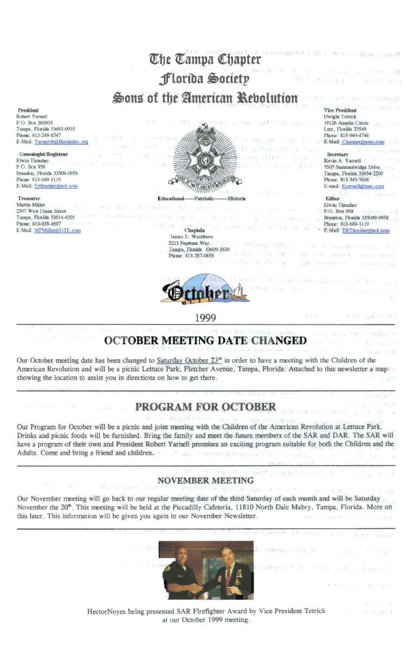

## **OCTOBER MEETING DATE CHANGED**

Our October meeting date has been changed to Saturday October 23<sup>rd</sup> in order to have a meeting with the Children of the American Revolution and will be a picnic Lettuce Park, Fletcher Avenue, Tampa, Florida. Attached to this newsletter a map showing the location to assist you in directions on how to get there.

## **PROGRAM FOR OCTOBER**

Our Program for October will be a picnic and joint meeting with the Children of the American Revolution at Lettuce Park. Drinks and picnic foods will be furnished. Bring the family and meet the future members of the SAR and DAR. The SAR will have a program of their own and President Robert Yarnell promises an exciting program suitable for both the Children and the Adults. Come and bring a friend and children. inflictanmous door ursu year

## **NOVEMBER MEETING**

Histo

Our November meeting will go back to our regular meeting date of the third Saturday of each month and will be Saturday November the 20<sup>th</sup>. This meeting will be held at the Piccadilly Cafeteria, 11810 North Dale Mabry, Tampa, Florida. More on this later. This information will be given you again in our November Newsletter.



HectorNoyes being presented SAR Firefighter Award by Vice President Tetrick at our October 1999 meeting.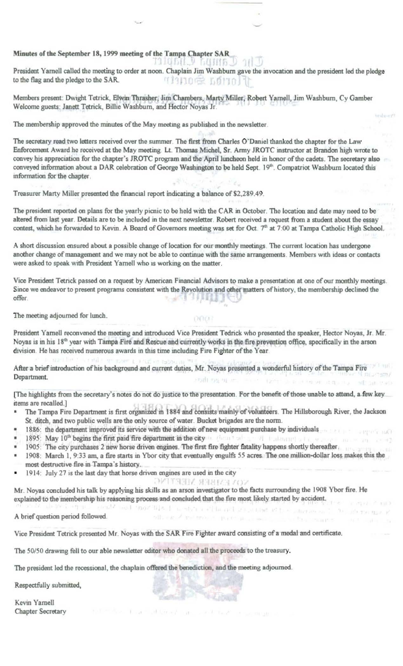Minutes of the September 18, 1999 meeting of the Tampa Chapter SAR

President Yarnell called the meeting to order at noon. Chaplain Jim Washburn gave the invocation and the president led the pledge to the flag and the pledge to the SAR. **TRANCE SONAT** 

Members present: Dwight Tetrick, Elwin Thrasher, Jim Chambers, Marty Miller, Robert Yarnell, Jim Washburn, Cy Gamber Welcome guests: Janett Tetrick, Billie Washburn, and Hector Noyas Jr.

The membership approved the minutes of the May meeting as published in the newsletter.

The secretary read two letters received over the summer. The first from Charles O'Daniel thanked the chapter for the Law Enforcement Award he received at the May meeting. Lt. Thomas Michel, Sr. Army JROTC instructor at Brandon high wrote to convey his appreciation for the chapter's JROTC program and the April luncheon held in honor of the cadets. The secretary also conveyed information about a DAR celebration of George Washington to be held Sept. 19th. Compatriot Washburn located this information for the chapter.

Treasurer Marty Miller presented the financial report indicating a balance of \$2,289.49.

The president reported on plans for the yearly picnic to be held with the CAR in October. The location and date may need to be altered from last year. Details are to be included in the next newsletter. Robert received a request from a student about the essay contest, which he forwarded to Kevin. A Board of Governors meeting was set for Oct. 7th at 7:00 at Tampa Catholic High School.

A short discussion ensured about a possible change of location for our monthly meetings. The current location has undergone another change of management and we may not be able to continue with the same arrangements. Members with ideas or contacts were asked to speak with President Yarnell who is working on the matter.

Vice President Tetrick passed on a request by American Financial Advisors to make a presentation at one of our monthly meetings. Since we endeavor to present programs consistent with the Revolution and other matters of history, the membership declined the offer. 7. ぶくだい ほうしょう

The meeting adjourned for lunch.

President Yarnell reconvened the meeting and introduced Vice President Tedrick who presented the speaker, Hector Noyas, Jr. Mr. Noyas is in his 18<sup>th</sup> year with Tampa Fire and Rescue and currently works in the fire prevention office, specifically in the arson division. He has received numerous awards in this time including Fire Fighter of the Year. mention to a right we move a print or ratio.

DOCK

After a brief introduction of his background and current duties, Mr. Noyas presented a wonderful history of the Tampa Fire sional and all such a company and a distribution of the company and the company Department.

[The highlights from the secretary's notes do not do justice to the presentation. For the benefit of those unable to attend, a few key\_ items are recalled.]

- The Tampa Fire Department is first organized in 1884 and consists mainly of volunteers. The Hillsborough River, the Jackson St. ditch, and two public wells are the only source of water. Bucket brigades are the norm.
- 1886: the department improved its service with the addition of new equipment purchase by individuals
- 1895: May 10<sup>th</sup> begins the first paid fire department in the city and the case of the contract of the contract of
- 1895: May 10<sup>th</sup> begins the first paid fire department in the city<br>1905: The city purchases 2 new horse driven engines. The first fire fighter fatality happens shortly thereafter.
- 1908: March 1, 9:33 am, a fire starts in Ybor city that eventually engulfs 55 acres. The one million-dollar loss makes this the most destructive fire in Tampa's history.

official of the tribut of the thing and the co-

1914: July 27 is the last day that horse driven engines are used in the city

**NOVEMBER MEETING** Mr. Noyas concluded his talk by applying his skills as an arson investigator to the facts surrounding the 1908 Ybor fire. He explained to the membership his reasoning process and concluded that the fire most likely started by accident. great? and "more file it is always a of hearth as counsel of the community of the

A brief question period followed.

Vice President Tetrick presented Mr. Noyas with the SAR Fire Fighter award consisting of a medal and certificate.

The 50/50 drawing fell to our able newsletter editor who donated all the proceeds to the treasury.

The president led the recessional, the chaplain offered the benediction, and the meeting adjourned.

Respectfully submitted,

Kevin Yarnell Chapter Secretary